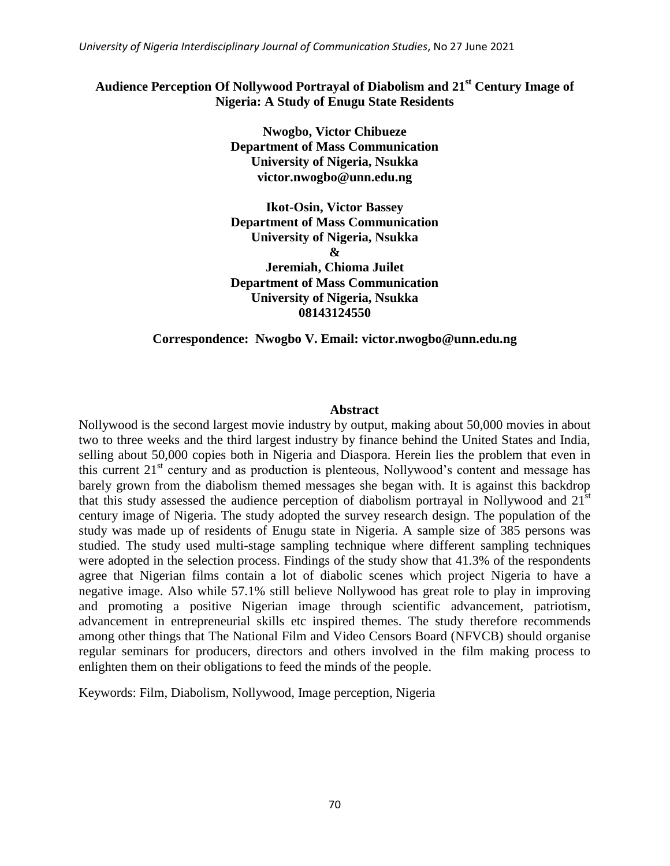*University of Nigeria Interdisciplinary Journal of Communication Studies*, No 27 June 2021

# **Audience Perception Of Nollywood Portrayal of Diabolism and 21st Century Image of Nigeria: A Study of Enugu State Residents**

**Nwogbo, Victor Chibueze Department of Mass Communication University of Nigeria, Nsukka victor.nwogbo@unn.edu.ng**

**Ikot-Osin, Victor Bassey Department of Mass Communication University of Nigeria, Nsukka & Jeremiah, Chioma Juilet Department of Mass Communication University of Nigeria, Nsukka 08143124550**

#### **Correspondence: Nwogbo V. Email: victor.nwogbo@unn.edu.ng**

#### **Abstract**

Nollywood is the second largest movie industry by output, making about 50,000 movies in about two to three weeks and the third largest industry by finance behind the United States and India, selling about 50,000 copies both in Nigeria and Diaspora. Herein lies the problem that even in this current 21<sup>st</sup> century and as production is plenteous, Nollywood's content and message has barely grown from the diabolism themed messages she began with. It is against this backdrop that this study assessed the audience perception of diabolism portrayal in Nollywood and  $21<sup>st</sup>$ century image of Nigeria. The study adopted the survey research design. The population of the study was made up of residents of Enugu state in Nigeria. A sample size of 385 persons was studied. The study used multi-stage sampling technique where different sampling techniques were adopted in the selection process. Findings of the study show that 41.3% of the respondents agree that Nigerian films contain a lot of diabolic scenes which project Nigeria to have a negative image. Also while 57.1% still believe Nollywood has great role to play in improving and promoting a positive Nigerian image through scientific advancement, patriotism, advancement in entrepreneurial skills etc inspired themes. The study therefore recommends among other things that The National Film and Video Censors Board (NFVCB) should organise regular seminars for producers, directors and others involved in the film making process to enlighten them on their obligations to feed the minds of the people.

Keywords: Film, Diabolism, Nollywood, Image perception, Nigeria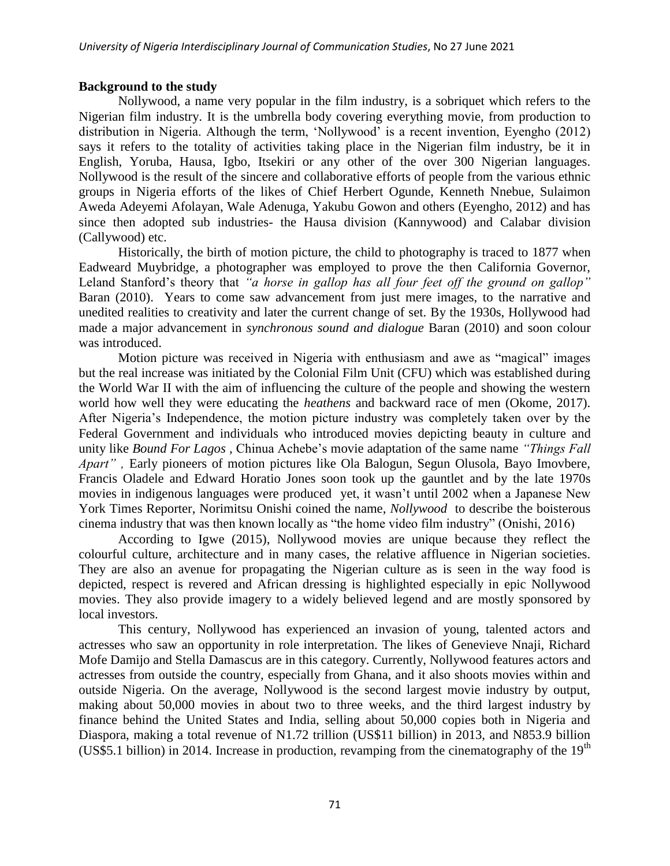### **Background to the study**

Nollywood, a name very popular in the film industry, is a sobriquet which refers to the Nigerian film industry. It is the umbrella body covering everything movie, from production to distribution in Nigeria. Although the term, 'Nollywood' is a recent invention, Eyengho (2012) says it refers to the totality of activities taking place in the Nigerian film industry, be it in English, Yoruba, Hausa, Igbo, Itsekiri or any other of the over 300 Nigerian languages. Nollywood is the result of the sincere and collaborative efforts of people from the various ethnic groups in Nigeria efforts of the likes of Chief Herbert Ogunde, Kenneth Nnebue, Sulaimon Aweda Adeyemi Afolayan, Wale Adenuga, Yakubu Gowon and others (Eyengho, 2012) and has since then adopted sub industries- the Hausa division (Kannywood) and Calabar division (Callywood) etc.

Historically, the birth of motion picture, the child to photography is traced to 1877 when Eadweard Muybridge, a photographer was employed to prove the then California Governor, Leland Stanford's theory that *"a horse in gallop has all four feet off the ground on gallop"* Baran (2010). Years to come saw advancement from just mere images, to the narrative and unedited realities to creativity and later the current change of set. By the 1930s, Hollywood had made a major advancement in *synchronous sound and dialogue* Baran (2010) and soon colour was introduced.

Motion picture was received in Nigeria with enthusiasm and awe as "magical" images but the real increase was initiated by the Colonial Film Unit (CFU) which was established during the World War II with the aim of influencing the culture of the people and showing the western world how well they were educating the *heathens* and backward race of men (Okome, 2017). After Nigeria"s Independence, the motion picture industry was completely taken over by the Federal Government and individuals who introduced movies depicting beauty in culture and unity like *Bound For Lagos ,* Chinua Achebe"s movie adaptation of the same name *"Things Fall Apart" ,* Early pioneers of motion pictures like Ola Balogun, Segun Olusola, Bayo Imovbere, Francis Oladele and Edward Horatio Jones soon took up the gauntlet and by the late 1970s movies in indigenous languages were produced yet, it wasn't until 2002 when a Japanese New York Times Reporter, Norimitsu Onishi coined the name, *Nollywood* to describe the boisterous cinema industry that was then known locally as "the home video film industry" (Onishi, 2016)

According to Igwe (2015), Nollywood movies are unique because they reflect the colourful culture, architecture and in many cases, the relative affluence in Nigerian societies. They are also an avenue for propagating the Nigerian culture as is seen in the way food is depicted, respect is revered and African dressing is highlighted especially in epic Nollywood movies. They also provide imagery to a widely believed legend and are mostly sponsored by local investors.

This century, Nollywood has experienced an invasion of young, talented actors and actresses who saw an opportunity in role interpretation. The likes of Genevieve Nnaji, Richard Mofe Damijo and Stella Damascus are in this category. Currently, Nollywood features actors and actresses from outside the country, especially from Ghana, and it also shoots movies within and outside Nigeria. On the average, Nollywood is the second largest movie industry by output, making about 50,000 movies in about two to three weeks, and the third largest industry by finance behind the United States and India, selling about 50,000 copies both in Nigeria and Diaspora, making a total revenue of N1.72 trillion (US\$11 billion) in 2013, and N853.9 billion (US\$5.1 billion) in 2014. Increase in production, revamping from the cinematography of the  $19<sup>th</sup>$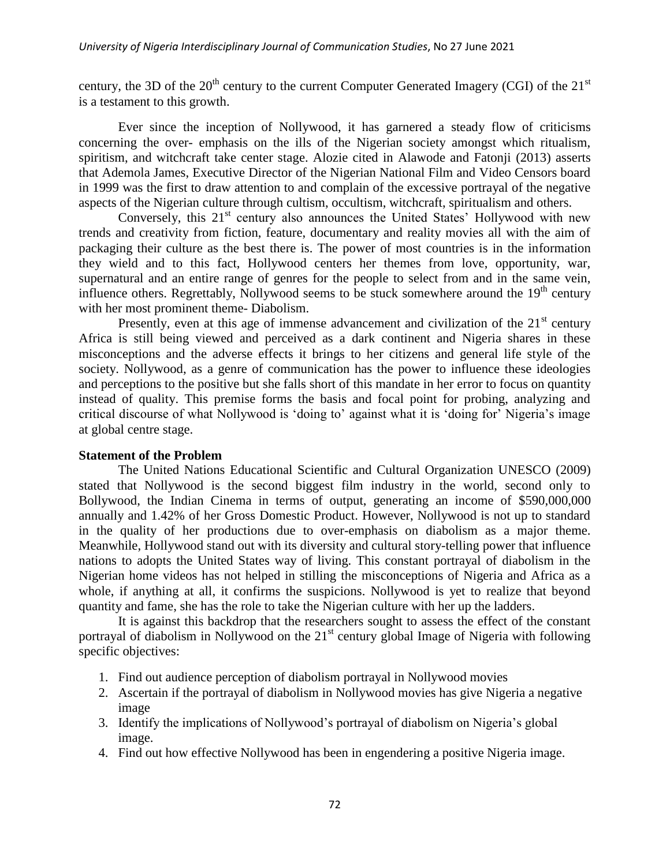century, the 3D of the  $20<sup>th</sup>$  century to the current Computer Generated Imagery (CGI) of the  $21<sup>st</sup>$ is a testament to this growth.

Ever since the inception of Nollywood, it has garnered a steady flow of criticisms concerning the over- emphasis on the ills of the Nigerian society amongst which ritualism, spiritism, and witchcraft take center stage. Alozie cited in Alawode and Fatonji (2013) asserts that Ademola James, Executive Director of the Nigerian National Film and Video Censors board in 1999 was the first to draw attention to and complain of the excessive portrayal of the negative aspects of the Nigerian culture through cultism, occultism, witchcraft, spiritualism and others.

Conversely, this  $21<sup>st</sup>$  century also announces the United States' Hollywood with new trends and creativity from fiction, feature, documentary and reality movies all with the aim of packaging their culture as the best there is. The power of most countries is in the information they wield and to this fact, Hollywood centers her themes from love, opportunity, war, supernatural and an entire range of genres for the people to select from and in the same vein, influence others. Regrettably, Nollywood seems to be stuck somewhere around the  $19<sup>th</sup>$  century with her most prominent theme- Diabolism.

Presently, even at this age of immense advancement and civilization of the  $21<sup>st</sup>$  century Africa is still being viewed and perceived as a dark continent and Nigeria shares in these misconceptions and the adverse effects it brings to her citizens and general life style of the society. Nollywood, as a genre of communication has the power to influence these ideologies and perceptions to the positive but she falls short of this mandate in her error to focus on quantity instead of quality. This premise forms the basis and focal point for probing, analyzing and critical discourse of what Nollywood is 'doing to' against what it is 'doing for' Nigeria's image at global centre stage.

#### **Statement of the Problem**

The United Nations Educational Scientific and Cultural Organization UNESCO (2009) stated that Nollywood is the second biggest film industry in the world, second only to Bollywood, the Indian Cinema in terms of output, generating an income of \$590,000,000 annually and 1.42% of her Gross Domestic Product. However, Nollywood is not up to standard in the quality of her productions due to over-emphasis on diabolism as a major theme. Meanwhile, Hollywood stand out with its diversity and cultural story-telling power that influence nations to adopts the United States way of living. This constant portrayal of diabolism in the Nigerian home videos has not helped in stilling the misconceptions of Nigeria and Africa as a whole, if anything at all, it confirms the suspicions. Nollywood is yet to realize that beyond quantity and fame, she has the role to take the Nigerian culture with her up the ladders.

It is against this backdrop that the researchers sought to assess the effect of the constant portrayal of diabolism in Nollywood on the 21<sup>st</sup> century global Image of Nigeria with following specific objectives:

- 1. Find out audience perception of diabolism portrayal in Nollywood movies
- 2. Ascertain if the portrayal of diabolism in Nollywood movies has give Nigeria a negative image
- 3. Identify the implications of Nollywood"s portrayal of diabolism on Nigeria"s global image.
- 4. Find out how effective Nollywood has been in engendering a positive Nigeria image.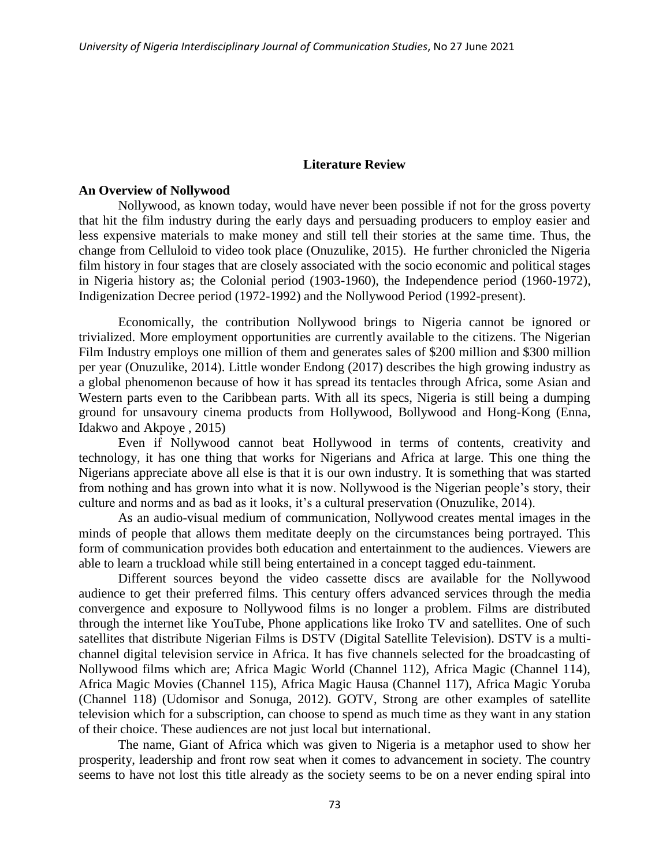#### **Literature Review**

#### **An Overview of Nollywood**

Nollywood, as known today, would have never been possible if not for the gross poverty that hit the film industry during the early days and persuading producers to employ easier and less expensive materials to make money and still tell their stories at the same time. Thus, the change from Celluloid to video took place (Onuzulike, 2015). He further chronicled the Nigeria film history in four stages that are closely associated with the socio economic and political stages in Nigeria history as; the Colonial period (1903-1960), the Independence period (1960-1972), Indigenization Decree period (1972-1992) and the Nollywood Period (1992-present).

Economically, the contribution Nollywood brings to Nigeria cannot be ignored or trivialized. More employment opportunities are currently available to the citizens. The Nigerian Film Industry employs one million of them and generates sales of \$200 million and \$300 million per year (Onuzulike, 2014). Little wonder Endong (2017) describes the high growing industry as a global phenomenon because of how it has spread its tentacles through Africa, some Asian and Western parts even to the Caribbean parts. With all its specs, Nigeria is still being a dumping ground for unsavoury cinema products from Hollywood, Bollywood and Hong-Kong (Enna, Idakwo and Akpoye , 2015)

Even if Nollywood cannot beat Hollywood in terms of contents, creativity and technology, it has one thing that works for Nigerians and Africa at large. This one thing the Nigerians appreciate above all else is that it is our own industry. It is something that was started from nothing and has grown into what it is now. Nollywood is the Nigerian people"s story, their culture and norms and as bad as it looks, it"s a cultural preservation (Onuzulike, 2014).

As an audio-visual medium of communication, Nollywood creates mental images in the minds of people that allows them meditate deeply on the circumstances being portrayed. This form of communication provides both education and entertainment to the audiences. Viewers are able to learn a truckload while still being entertained in a concept tagged edu-tainment.

Different sources beyond the video cassette discs are available for the Nollywood audience to get their preferred films. This century offers advanced services through the media convergence and exposure to Nollywood films is no longer a problem. Films are distributed through the internet like YouTube, Phone applications like Iroko TV and satellites. One of such satellites that distribute Nigerian Films is DSTV (Digital Satellite Television). DSTV is a multichannel digital television service in Africa. It has five channels selected for the broadcasting of Nollywood films which are; Africa Magic World (Channel 112), Africa Magic (Channel 114), Africa Magic Movies (Channel 115), Africa Magic Hausa (Channel 117), Africa Magic Yoruba (Channel 118) (Udomisor and Sonuga, 2012). GOTV, Strong are other examples of satellite television which for a subscription, can choose to spend as much time as they want in any station of their choice. These audiences are not just local but international.

The name, Giant of Africa which was given to Nigeria is a metaphor used to show her prosperity, leadership and front row seat when it comes to advancement in society. The country seems to have not lost this title already as the society seems to be on a never ending spiral into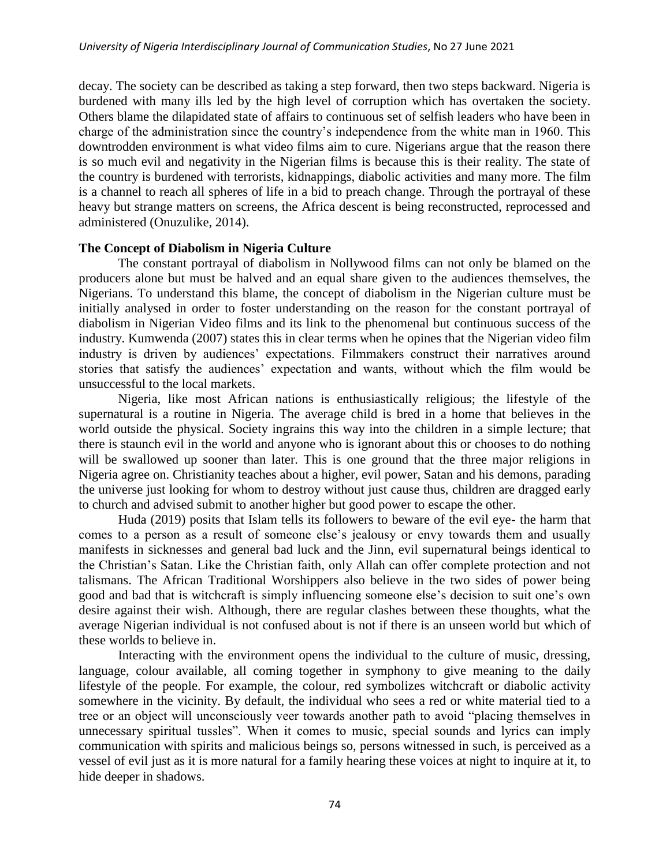decay. The society can be described as taking a step forward, then two steps backward. Nigeria is burdened with many ills led by the high level of corruption which has overtaken the society. Others blame the dilapidated state of affairs to continuous set of selfish leaders who have been in charge of the administration since the country"s independence from the white man in 1960. This downtrodden environment is what video films aim to cure. Nigerians argue that the reason there is so much evil and negativity in the Nigerian films is because this is their reality. The state of the country is burdened with terrorists, kidnappings, diabolic activities and many more. The film is a channel to reach all spheres of life in a bid to preach change. Through the portrayal of these heavy but strange matters on screens, the Africa descent is being reconstructed, reprocessed and administered (Onuzulike, 2014).

#### **The Concept of Diabolism in Nigeria Culture**

The constant portrayal of diabolism in Nollywood films can not only be blamed on the producers alone but must be halved and an equal share given to the audiences themselves, the Nigerians. To understand this blame, the concept of diabolism in the Nigerian culture must be initially analysed in order to foster understanding on the reason for the constant portrayal of diabolism in Nigerian Video films and its link to the phenomenal but continuous success of the industry. Kumwenda (2007) states this in clear terms when he opines that the Nigerian video film industry is driven by audiences' expectations. Filmmakers construct their narratives around stories that satisfy the audiences" expectation and wants, without which the film would be unsuccessful to the local markets.

Nigeria, like most African nations is enthusiastically religious; the lifestyle of the supernatural is a routine in Nigeria. The average child is bred in a home that believes in the world outside the physical. Society ingrains this way into the children in a simple lecture; that there is staunch evil in the world and anyone who is ignorant about this or chooses to do nothing will be swallowed up sooner than later. This is one ground that the three major religions in Nigeria agree on. Christianity teaches about a higher, evil power, Satan and his demons, parading the universe just looking for whom to destroy without just cause thus, children are dragged early to church and advised submit to another higher but good power to escape the other.

Huda (2019) posits that Islam tells its followers to beware of the evil eye- the harm that comes to a person as a result of someone else's jealousy or envy towards them and usually manifests in sicknesses and general bad luck and the Jinn, evil supernatural beings identical to the Christian"s Satan. Like the Christian faith, only Allah can offer complete protection and not talismans. The African Traditional Worshippers also believe in the two sides of power being good and bad that is witchcraft is simply influencing someone else"s decision to suit one"s own desire against their wish. Although, there are regular clashes between these thoughts, what the average Nigerian individual is not confused about is not if there is an unseen world but which of these worlds to believe in.

Interacting with the environment opens the individual to the culture of music, dressing, language, colour available, all coming together in symphony to give meaning to the daily lifestyle of the people. For example, the colour, red symbolizes witchcraft or diabolic activity somewhere in the vicinity. By default, the individual who sees a red or white material tied to a tree or an object will unconsciously veer towards another path to avoid "placing themselves in unnecessary spiritual tussles". When it comes to music, special sounds and lyrics can imply communication with spirits and malicious beings so, persons witnessed in such, is perceived as a vessel of evil just as it is more natural for a family hearing these voices at night to inquire at it, to hide deeper in shadows.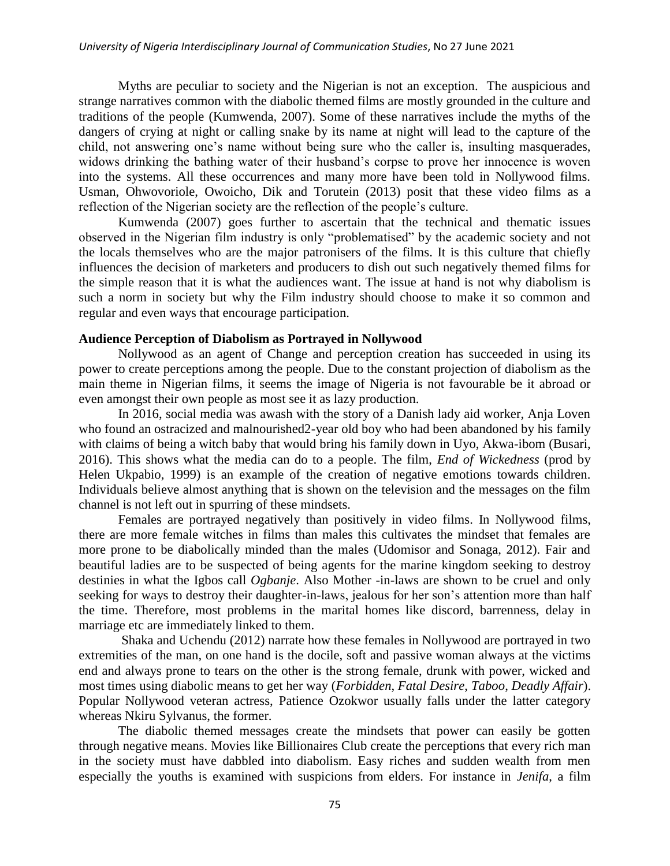Myths are peculiar to society and the Nigerian is not an exception. The auspicious and strange narratives common with the diabolic themed films are mostly grounded in the culture and traditions of the people (Kumwenda, 2007). Some of these narratives include the myths of the dangers of crying at night or calling snake by its name at night will lead to the capture of the child, not answering one"s name without being sure who the caller is, insulting masquerades, widows drinking the bathing water of their husband"s corpse to prove her innocence is woven into the systems. All these occurrences and many more have been told in Nollywood films. Usman, Ohwovoriole, Owoicho, Dik and Torutein (2013) posit that these video films as a reflection of the Nigerian society are the reflection of the people"s culture.

Kumwenda (2007) goes further to ascertain that the technical and thematic issues observed in the Nigerian film industry is only "problematised" by the academic society and not the locals themselves who are the major patronisers of the films. It is this culture that chiefly influences the decision of marketers and producers to dish out such negatively themed films for the simple reason that it is what the audiences want. The issue at hand is not why diabolism is such a norm in society but why the Film industry should choose to make it so common and regular and even ways that encourage participation.

## **Audience Perception of Diabolism as Portrayed in Nollywood**

Nollywood as an agent of Change and perception creation has succeeded in using its power to create perceptions among the people. Due to the constant projection of diabolism as the main theme in Nigerian films, it seems the image of Nigeria is not favourable be it abroad or even amongst their own people as most see it as lazy production.

In 2016, social media was awash with the story of a Danish lady aid worker, Anja Loven who found an ostracized and malnourished2-year old boy who had been abandoned by his family with claims of being a witch baby that would bring his family down in Uyo, Akwa-ibom (Busari, 2016). This shows what the media can do to a people. The film, *End of Wickedness* (prod by Helen Ukpabio, 1999) is an example of the creation of negative emotions towards children. Individuals believe almost anything that is shown on the television and the messages on the film channel is not left out in spurring of these mindsets.

Females are portrayed negatively than positively in video films. In Nollywood films, there are more female witches in films than males this cultivates the mindset that females are more prone to be diabolically minded than the males (Udomisor and Sonaga, 2012). Fair and beautiful ladies are to be suspected of being agents for the marine kingdom seeking to destroy destinies in what the Igbos call *Ogbanje*. Also Mother -in-laws are shown to be cruel and only seeking for ways to destroy their daughter-in-laws, jealous for her son's attention more than half the time. Therefore, most problems in the marital homes like discord, barrenness, delay in marriage etc are immediately linked to them.

Shaka and Uchendu (2012) narrate how these females in Nollywood are portrayed in two extremities of the man, on one hand is the docile, soft and passive woman always at the victims end and always prone to tears on the other is the strong female, drunk with power, wicked and most times using diabolic means to get her way (*Forbidden*, *Fatal Desire*, *Taboo*, *Deadly Affair*). Popular Nollywood veteran actress, Patience Ozokwor usually falls under the latter category whereas Nkiru Sylvanus, the former.

The diabolic themed messages create the mindsets that power can easily be gotten through negative means. Movies like Billionaires Club create the perceptions that every rich man in the society must have dabbled into diabolism. Easy riches and sudden wealth from men especially the youths is examined with suspicions from elders. For instance in *Jenifa*, a film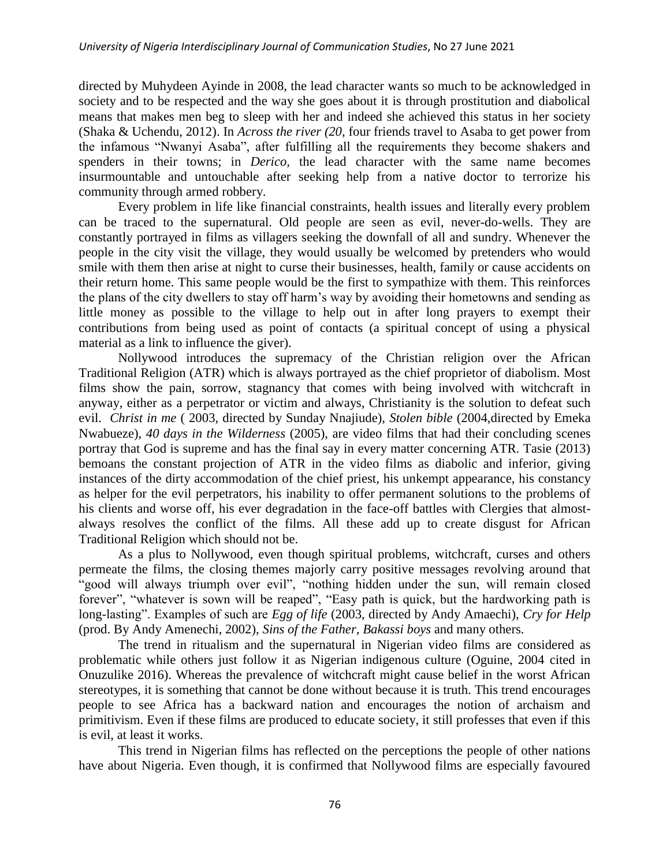directed by Muhydeen Ayinde in 2008, the lead character wants so much to be acknowledged in society and to be respected and the way she goes about it is through prostitution and diabolical means that makes men beg to sleep with her and indeed she achieved this status in her society (Shaka & Uchendu, 2012). In *Across the river (20*, four friends travel to Asaba to get power from the infamous "Nwanyi Asaba", after fulfilling all the requirements they become shakers and spenders in their towns; in *Derico,* the lead character with the same name becomes insurmountable and untouchable after seeking help from a native doctor to terrorize his community through armed robbery.

Every problem in life like financial constraints, health issues and literally every problem can be traced to the supernatural. Old people are seen as evil, never-do-wells. They are constantly portrayed in films as villagers seeking the downfall of all and sundry. Whenever the people in the city visit the village, they would usually be welcomed by pretenders who would smile with them then arise at night to curse their businesses, health, family or cause accidents on their return home. This same people would be the first to sympathize with them. This reinforces the plans of the city dwellers to stay off harm"s way by avoiding their hometowns and sending as little money as possible to the village to help out in after long prayers to exempt their contributions from being used as point of contacts (a spiritual concept of using a physical material as a link to influence the giver).

Nollywood introduces the supremacy of the Christian religion over the African Traditional Religion (ATR) which is always portrayed as the chief proprietor of diabolism. Most films show the pain, sorrow, stagnancy that comes with being involved with witchcraft in anyway, either as a perpetrator or victim and always, Christianity is the solution to defeat such evil. *Christ in me* ( 2003, directed by Sunday Nnajiude), *Stolen bible* (2004,directed by Emeka Nwabueze), *40 days in the Wilderness* (2005), are video films that had their concluding scenes portray that God is supreme and has the final say in every matter concerning ATR. Tasie (2013) bemoans the constant projection of ATR in the video films as diabolic and inferior, giving instances of the dirty accommodation of the chief priest, his unkempt appearance, his constancy as helper for the evil perpetrators, his inability to offer permanent solutions to the problems of his clients and worse off, his ever degradation in the face-off battles with Clergies that almostalways resolves the conflict of the films. All these add up to create disgust for African Traditional Religion which should not be.

As a plus to Nollywood, even though spiritual problems, witchcraft, curses and others permeate the films, the closing themes majorly carry positive messages revolving around that "good will always triumph over evil", "nothing hidden under the sun, will remain closed forever", "whatever is sown will be reaped", "Easy path is quick, but the hardworking path is long-lasting". Examples of such are *Egg of life* (2003, directed by Andy Amaechi), *Cry for Help* (prod. By Andy Amenechi, 2002), *Sins of the Father, Bakassi boys* and many others.

The trend in ritualism and the supernatural in Nigerian video films are considered as problematic while others just follow it as Nigerian indigenous culture (Oguine, 2004 cited in Onuzulike 2016). Whereas the prevalence of witchcraft might cause belief in the worst African stereotypes, it is something that cannot be done without because it is truth. This trend encourages people to see Africa has a backward nation and encourages the notion of archaism and primitivism. Even if these films are produced to educate society, it still professes that even if this is evil, at least it works.

This trend in Nigerian films has reflected on the perceptions the people of other nations have about Nigeria. Even though, it is confirmed that Nollywood films are especially favoured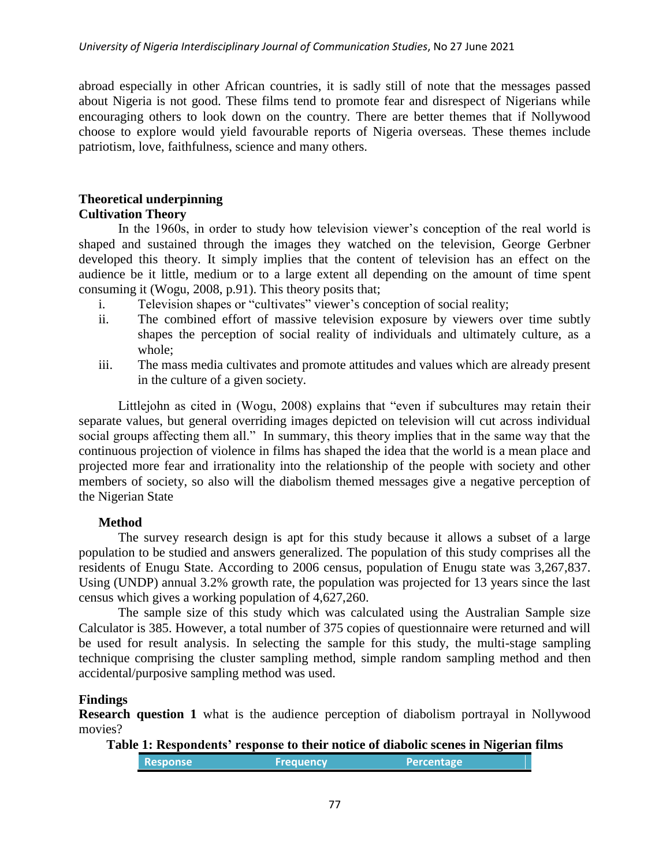abroad especially in other African countries, it is sadly still of note that the messages passed about Nigeria is not good. These films tend to promote fear and disrespect of Nigerians while encouraging others to look down on the country. There are better themes that if Nollywood choose to explore would yield favourable reports of Nigeria overseas. These themes include patriotism, love, faithfulness, science and many others.

## **Theoretical underpinning Cultivation Theory**

In the 1960s, in order to study how television viewer"s conception of the real world is shaped and sustained through the images they watched on the television, George Gerbner developed this theory. It simply implies that the content of television has an effect on the audience be it little, medium or to a large extent all depending on the amount of time spent consuming it (Wogu, 2008, p.91). This theory posits that;

- i. Television shapes or "cultivates" viewer"s conception of social reality;
- ii. The combined effort of massive television exposure by viewers over time subtly shapes the perception of social reality of individuals and ultimately culture, as a whole;
- iii. The mass media cultivates and promote attitudes and values which are already present in the culture of a given society.

Littlejohn as cited in (Wogu, 2008) explains that "even if subcultures may retain their separate values, but general overriding images depicted on television will cut across individual social groups affecting them all." In summary, this theory implies that in the same way that the continuous projection of violence in films has shaped the idea that the world is a mean place and projected more fear and irrationality into the relationship of the people with society and other members of society, so also will the diabolism themed messages give a negative perception of the Nigerian State

# **Method**

The survey research design is apt for this study because it allows a subset of a large population to be studied and answers generalized. The population of this study comprises all the residents of Enugu State. According to 2006 census, population of Enugu state was 3,267,837. Using (UNDP) annual 3.2% growth rate, the population was projected for 13 years since the last census which gives a working population of 4,627,260.

The sample size of this study which was calculated using the Australian Sample size Calculator is 385. However, a total number of 375 copies of questionnaire were returned and will be used for result analysis. In selecting the sample for this study, the multi-stage sampling technique comprising the cluster sampling method, simple random sampling method and then accidental/purposive sampling method was used.

# **Findings**

**Research question 1** what is the audience perception of diabolism portrayal in Nollywood movies?

**Table 1: Respondents' response to their notice of diabolic scenes in Nigerian films Response <b>Frequency Percentage**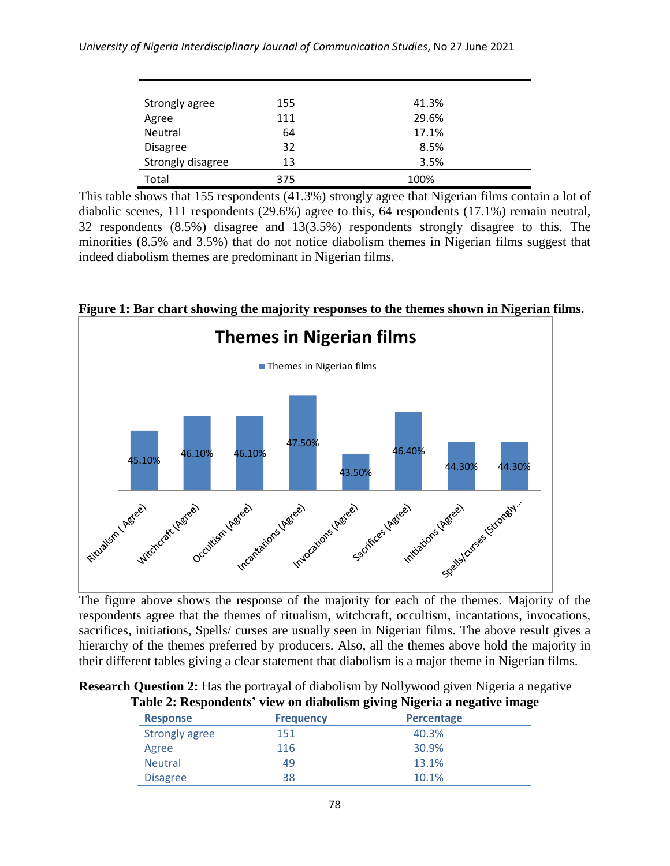### *University of Nigeria Interdisciplinary Journal of Communication Studies*, No 27 June 2021

| Strongly agree    | 155 | 41.3% |  |
|-------------------|-----|-------|--|
| Agree             | 111 | 29.6% |  |
| Neutral           | 64  | 17.1% |  |
| <b>Disagree</b>   | 32  | 8.5%  |  |
| Strongly disagree | 13  | 3.5%  |  |
| Total             | 375 | 100%  |  |

This table shows that 155 respondents (41.3%) strongly agree that Nigerian films contain a lot of diabolic scenes, 111 respondents (29.6%) agree to this, 64 respondents (17.1%) remain neutral, 32 respondents (8.5%) disagree and 13(3.5%) respondents strongly disagree to this. The minorities (8.5% and 3.5%) that do not notice diabolism themes in Nigerian films suggest that indeed diabolism themes are predominant in Nigerian films.



**Figure 1: Bar chart showing the majority responses to the themes shown in Nigerian films.**

respondents agree that the themes of ritualism, witchcraft, occultism, incantations, invocations, sacrifices, initiations, Spells/ curses are usually seen in Nigerian films. The above result gives a hierarchy of the themes preferred by producers. Also, all the themes above hold the majority in their different tables giving a clear statement that diabolism is a major theme in Nigerian films.

| <b>Research Question 2:</b> Has the portrayal of diabolism by Nollywood given Nigeria a negative |  |
|--------------------------------------------------------------------------------------------------|--|
| Table 2: Respondents' view on diabolism giving Nigeria a negative image                          |  |

|                       |                  | radio at respondents when on thus only group ruggerit a negative mange |  |  |
|-----------------------|------------------|------------------------------------------------------------------------|--|--|
| <b>Response</b>       | <b>Frequency</b> | <b>Percentage</b>                                                      |  |  |
| <b>Strongly agree</b> | 151              | 40.3%                                                                  |  |  |
| Agree                 | 116              | 30.9%                                                                  |  |  |
| <b>Neutral</b>        | 49               | 13.1%                                                                  |  |  |
| <b>Disagree</b>       | 38               | 10.1%                                                                  |  |  |
|                       |                  |                                                                        |  |  |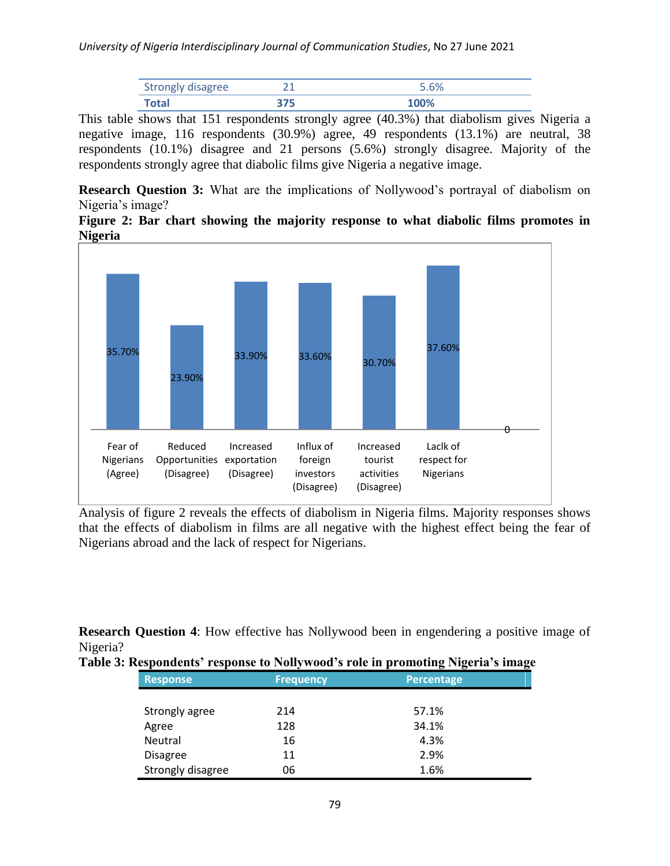| <b>Strongly disagree</b> |  |
|--------------------------|--|
| <b>Tota</b>              |  |

This table shows that 151 respondents strongly agree (40.3%) that diabolism gives Nigeria a negative image, 116 respondents (30.9%) agree, 49 respondents (13.1%) are neutral, 38 respondents (10.1%) disagree and 21 persons (5.6%) strongly disagree. Majority of the respondents strongly agree that diabolic films give Nigeria a negative image.

**Research Question 3:** What are the implications of Nollywood's portrayal of diabolism on Nigeria's image?

**Figure 2: Bar chart showing the majority response to what diabolic films promotes in Nigeria**



Analysis of figure 2 reveals the effects of diabolism in Nigeria films. Majority responses shows that the effects of diabolism in films are all negative with the highest effect being the fear of Nigerians abroad and the lack of respect for Nigerians.

**Research Question 4:** How effective has Nollywood been in engendering a positive image of Nigeria?

| <b>Response</b>   | <b>Frequency</b> | <b>Percentage</b> |  |
|-------------------|------------------|-------------------|--|
|                   |                  |                   |  |
| Strongly agree    | 214              | 57.1%             |  |
| Agree             | 128              | 34.1%             |  |
| Neutral           | 16               | 4.3%              |  |
| <b>Disagree</b>   | 11               | 2.9%              |  |
| Strongly disagree | 06               | 1.6%              |  |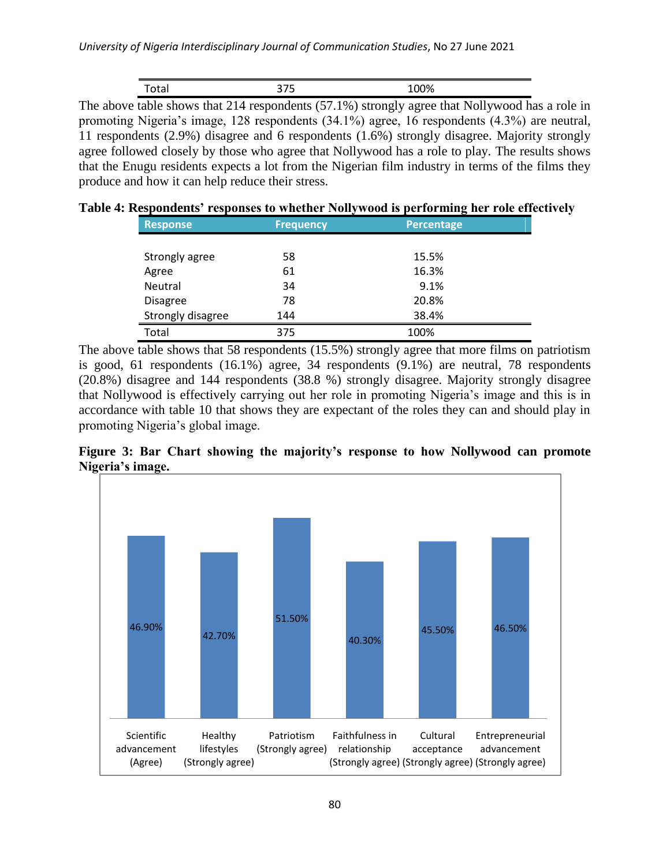| --<br>, ca i | ے | 0.001<br>$-0.70$ |
|--------------|---|------------------|

The above table shows that 214 respondents (57.1%) strongly agree that Nollywood has a role in promoting Nigeria's image, 128 respondents (34.1%) agree, 16 respondents (4.3%) are neutral, 11 respondents (2.9%) disagree and 6 respondents (1.6%) strongly disagree. Majority strongly agree followed closely by those who agree that Nollywood has a role to play. The results shows that the Enugu residents expects a lot from the Nigerian film industry in terms of the films they produce and how it can help reduce their stress.

**Table 4: Respondents' responses to whether Nollywood is performing her role effectively**

| <b>Response</b>   | <b>Frequency</b> | <b>Percentage</b> |  |
|-------------------|------------------|-------------------|--|
|                   |                  |                   |  |
| Strongly agree    | 58               | 15.5%             |  |
| Agree             | 61               | 16.3%             |  |
| <b>Neutral</b>    | 34               | 9.1%              |  |
| <b>Disagree</b>   | 78               | 20.8%             |  |
| Strongly disagree | 144              | 38.4%             |  |
| Total             | 375              | 100%              |  |

The above table shows that 58 respondents (15.5%) strongly agree that more films on patriotism is good, 61 respondents (16.1%) agree, 34 respondents (9.1%) are neutral, 78 respondents (20.8%) disagree and 144 respondents (38.8 %) strongly disagree. Majority strongly disagree that Nollywood is effectively carrying out her role in promoting Nigeria"s image and this is in accordance with table 10 that shows they are expectant of the roles they can and should play in promoting Nigeria"s global image.



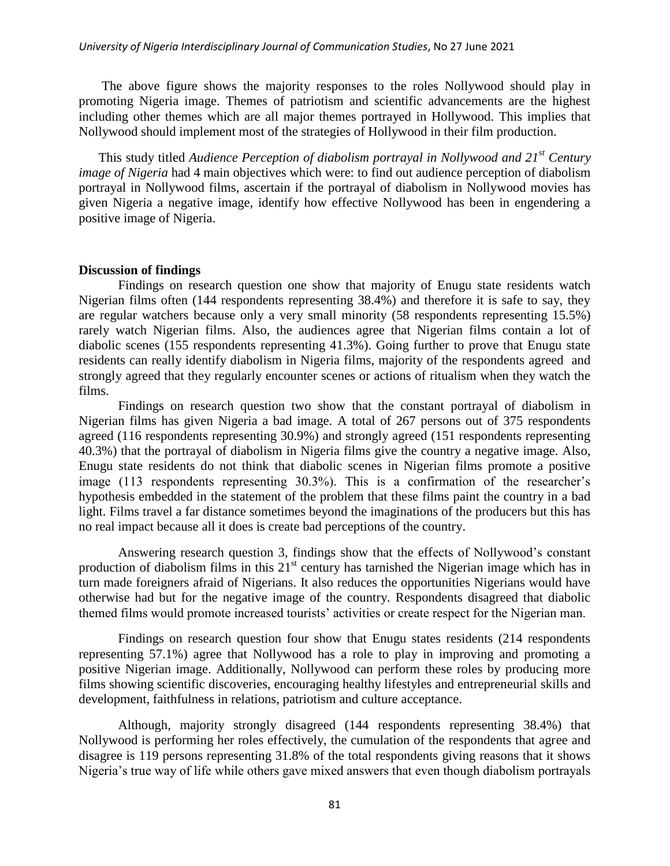The above figure shows the majority responses to the roles Nollywood should play in promoting Nigeria image. Themes of patriotism and scientific advancements are the highest including other themes which are all major themes portrayed in Hollywood. This implies that Nollywood should implement most of the strategies of Hollywood in their film production.

This study titled *Audience Perception of diabolism portrayal in Nollywood and 21st Century image of Nigeria* had 4 main objectives which were: to find out audience perception of diabolism portrayal in Nollywood films, ascertain if the portrayal of diabolism in Nollywood movies has given Nigeria a negative image, identify how effective Nollywood has been in engendering a positive image of Nigeria.

### **Discussion of findings**

Findings on research question one show that majority of Enugu state residents watch Nigerian films often (144 respondents representing 38.4%) and therefore it is safe to say, they are regular watchers because only a very small minority (58 respondents representing 15.5%) rarely watch Nigerian films. Also, the audiences agree that Nigerian films contain a lot of diabolic scenes (155 respondents representing 41.3%). Going further to prove that Enugu state residents can really identify diabolism in Nigeria films, majority of the respondents agreed and strongly agreed that they regularly encounter scenes or actions of ritualism when they watch the films.

Findings on research question two show that the constant portrayal of diabolism in Nigerian films has given Nigeria a bad image. A total of 267 persons out of 375 respondents agreed (116 respondents representing 30.9%) and strongly agreed (151 respondents representing 40.3%) that the portrayal of diabolism in Nigeria films give the country a negative image. Also, Enugu state residents do not think that diabolic scenes in Nigerian films promote a positive image (113 respondents representing 30.3%). This is a confirmation of the researcher's hypothesis embedded in the statement of the problem that these films paint the country in a bad light. Films travel a far distance sometimes beyond the imaginations of the producers but this has no real impact because all it does is create bad perceptions of the country.

Answering research question 3, findings show that the effects of Nollywood"s constant production of diabolism films in this  $21<sup>st</sup>$  century has tarnished the Nigerian image which has in turn made foreigners afraid of Nigerians. It also reduces the opportunities Nigerians would have otherwise had but for the negative image of the country. Respondents disagreed that diabolic themed films would promote increased tourists' activities or create respect for the Nigerian man.

Findings on research question four show that Enugu states residents (214 respondents representing 57.1%) agree that Nollywood has a role to play in improving and promoting a positive Nigerian image. Additionally, Nollywood can perform these roles by producing more films showing scientific discoveries, encouraging healthy lifestyles and entrepreneurial skills and development, faithfulness in relations, patriotism and culture acceptance.

Although, majority strongly disagreed (144 respondents representing 38.4%) that Nollywood is performing her roles effectively, the cumulation of the respondents that agree and disagree is 119 persons representing 31.8% of the total respondents giving reasons that it shows Nigeria"s true way of life while others gave mixed answers that even though diabolism portrayals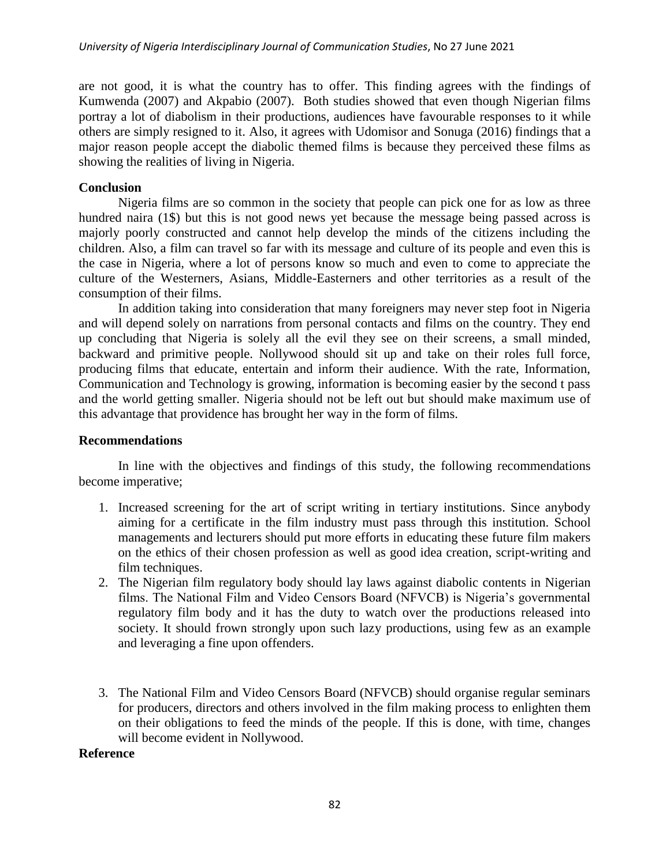are not good, it is what the country has to offer. This finding agrees with the findings of Kumwenda (2007) and Akpabio (2007). Both studies showed that even though Nigerian films portray a lot of diabolism in their productions, audiences have favourable responses to it while others are simply resigned to it. Also, it agrees with Udomisor and Sonuga (2016) findings that a major reason people accept the diabolic themed films is because they perceived these films as showing the realities of living in Nigeria.

## **Conclusion**

Nigeria films are so common in the society that people can pick one for as low as three hundred naira (1\$) but this is not good news yet because the message being passed across is majorly poorly constructed and cannot help develop the minds of the citizens including the children. Also, a film can travel so far with its message and culture of its people and even this is the case in Nigeria, where a lot of persons know so much and even to come to appreciate the culture of the Westerners, Asians, Middle-Easterners and other territories as a result of the consumption of their films.

In addition taking into consideration that many foreigners may never step foot in Nigeria and will depend solely on narrations from personal contacts and films on the country. They end up concluding that Nigeria is solely all the evil they see on their screens, a small minded, backward and primitive people. Nollywood should sit up and take on their roles full force, producing films that educate, entertain and inform their audience. With the rate, Information, Communication and Technology is growing, information is becoming easier by the second t pass and the world getting smaller. Nigeria should not be left out but should make maximum use of this advantage that providence has brought her way in the form of films.

### **Recommendations**

In line with the objectives and findings of this study, the following recommendations become imperative;

- 1. Increased screening for the art of script writing in tertiary institutions. Since anybody aiming for a certificate in the film industry must pass through this institution. School managements and lecturers should put more efforts in educating these future film makers on the ethics of their chosen profession as well as good idea creation, script-writing and film techniques.
- 2. The Nigerian film regulatory body should lay laws against diabolic contents in Nigerian films. The National Film and Video Censors Board (NFVCB) is Nigeria's governmental regulatory film body and it has the duty to watch over the productions released into society. It should frown strongly upon such lazy productions, using few as an example and leveraging a fine upon offenders.
- 3. The National Film and Video Censors Board (NFVCB) should organise regular seminars for producers, directors and others involved in the film making process to enlighten them on their obligations to feed the minds of the people. If this is done, with time, changes will become evident in Nollywood.

#### **Reference**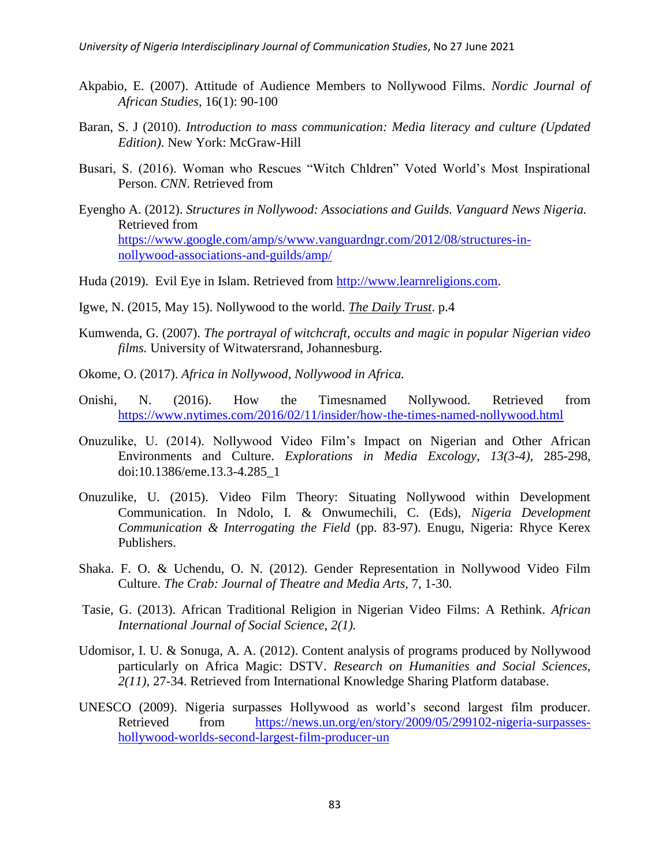- Akpabio, E. (2007). Attitude of Audience Members to Nollywood Films. *Nordic Journal of African Studies*, 16(1): 90-100
- Baran, S. J (2010). *Introduction to mass communication: Media literacy and culture (Updated Edition)*. New York: McGraw-Hill
- Busari, S. (2016). Woman who Rescues "Witch Chldren" Voted World"s Most Inspirational Person. *CNN*. Retrieved from
- Eyengho A. (2012). *Structures in Nollywood: Associations and Guilds. Vanguard News Nigeria.* Retrieved from [https://www.google.com/amp/s/www.vanguardngr.com/2012/08/structures-in](https://www.google.com/amp/s/www.vanguardngr.com/2012/08/structures-in-nollywood-associations-and-guilds/amp/)[nollywood-associations-and-guilds/amp/](https://www.google.com/amp/s/www.vanguardngr.com/2012/08/structures-in-nollywood-associations-and-guilds/amp/)
- Huda (2019). Evil Eye in Islam. Retrieved from [http://www.learnreligions.com.](http://www.learnreligions.com/)
- Igwe, N. (2015, May 15). Nollywood to the world. *The Daily Trust*. p.4
- Kumwenda, G. (2007). *The portrayal of witchcraft, occults and magic in popular Nigerian video films.* University of Witwatersrand, Johannesburg.
- Okome, O. (2017). *Africa in Nollywood, Nollywood in Africa.*
- Onishi, N. (2016). How the Timesnamed Nollywood. Retrieved from <https://www.nytimes.com/2016/02/11/insider/how-the-times-named-nollywood.html>
- Onuzulike, U. (2014). Nollywood Video Film"s Impact on Nigerian and Other African Environments and Culture. *Explorations in Media Excology*, *13(3-4),* 285-298, doi:10.1386/eme.13.3-4.285\_1
- Onuzulike, U. (2015). Video Film Theory: Situating Nollywood within Development Communication. In Ndolo, I. & Onwumechili, C. (Eds), *Nigeria Development Communication & Interrogating the Field* (pp. 83-97). Enugu, Nigeria: Rhyce Kerex Publishers.
- Shaka. F. O. & Uchendu, O. N. (2012). Gender Representation in Nollywood Video Film Culture. *The Crab: Journal of Theatre and Media Arts,* 7, 1-30.
- Tasie, G. (2013). African Traditional Religion in Nigerian Video Films: A Rethink. *African International Journal of Social Science, 2(1).*
- Udomisor, I. U. & Sonuga, A. A. (2012). Content analysis of programs produced by Nollywood particularly on Africa Magic: DSTV. *Research on Humanities and Social Sciences, 2(11),* 27-34. Retrieved from International Knowledge Sharing Platform database.
- UNESCO (2009). Nigeria surpasses Hollywood as world"s second largest film producer. Retrieved from [https://news.un.org/en/story/2009/05/299102-nigeria-surpasses](https://news.un.org/en/story/2009/05/299102-nigeria-surpasses-hollywood-worlds-second-largest-film-producer-un)[hollywood-worlds-second-largest-film-producer-un](https://news.un.org/en/story/2009/05/299102-nigeria-surpasses-hollywood-worlds-second-largest-film-producer-un)